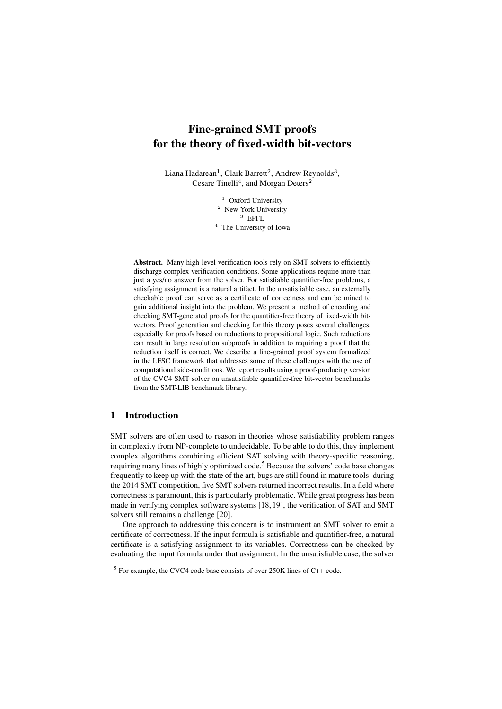# Fine-grained SMT proofs for the theory of fixed-width bit-vectors

Liana Hadarean<sup>1</sup>, Clark Barrett<sup>2</sup>, Andrew Reynolds<sup>3</sup>, Cesare Tinelli<sup>4</sup>, and Morgan Deters<sup>2</sup>

> <sup>1</sup> Oxford University <sup>2</sup> New York University  $3$  EPFL. <sup>4</sup> The University of Iowa

Abstract. Many high-level verification tools rely on SMT solvers to efficiently discharge complex verification conditions. Some applications require more than just a yes/no answer from the solver. For satisfiable quantifier-free problems, a satisfying assignment is a natural artifact. In the unsatisfiable case, an externally checkable proof can serve as a certificate of correctness and can be mined to gain additional insight into the problem. We present a method of encoding and checking SMT-generated proofs for the quantifier-free theory of fixed-width bitvectors. Proof generation and checking for this theory poses several challenges, especially for proofs based on reductions to propositional logic. Such reductions can result in large resolution subproofs in addition to requiring a proof that the reduction itself is correct. We describe a fine-grained proof system formalized in the LFSC framework that addresses some of these challenges with the use of computational side-conditions. We report results using a proof-producing version of the CVC4 SMT solver on unsatisfiable quantifier-free bit-vector benchmarks from the SMT-LIB benchmark library.

# 1 Introduction

SMT solvers are often used to reason in theories whose satisfiability problem ranges in complexity from NP-complete to undecidable. To be able to do this, they implement complex algorithms combining efficient SAT solving with theory-specific reasoning, requiring many lines of highly optimized code.<sup>5</sup> Because the solvers' code base changes frequently to keep up with the state of the art, bugs are still found in mature tools: during the 2014 SMT competition, five SMT solvers returned incorrect results. In a field where correctness is paramount, this is particularly problematic. While great progress has been made in verifying complex software systems [18, 19], the verification of SAT and SMT solvers still remains a challenge [20].

One approach to addressing this concern is to instrument an SMT solver to emit a certificate of correctness. If the input formula is satisfiable and quantifier-free, a natural certificate is a satisfying assignment to its variables. Correctness can be checked by evaluating the input formula under that assignment. In the unsatisfiable case, the solver

 $5$  For example, the CVC4 code base consists of over 250K lines of C++ code.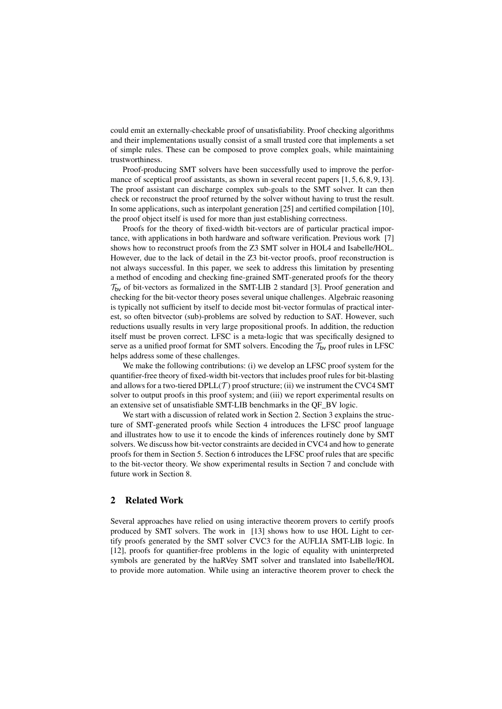could emit an externally-checkable proof of unsatisfiability. Proof checking algorithms and their implementations usually consist of a small trusted core that implements a set of simple rules. These can be composed to prove complex goals, while maintaining trustworthiness.

Proof-producing SMT solvers have been successfully used to improve the performance of sceptical proof assistants, as shown in several recent papers [1, 5, 6, 8, 9, 13]. The proof assistant can discharge complex sub-goals to the SMT solver. It can then check or reconstruct the proof returned by the solver without having to trust the result. In some applications, such as interpolant generation [25] and certified compilation [10], the proof object itself is used for more than just establishing correctness.

Proofs for the theory of fixed-width bit-vectors are of particular practical importance, with applications in both hardware and software verification. Previous work [7] shows how to reconstruct proofs from the Z3 SMT solver in HOL4 and Isabelle/HOL. However, due to the lack of detail in the Z3 bit-vector proofs, proof reconstruction is not always successful. In this paper, we seek to address this limitation by presenting a method of encoding and checking fine-grained SMT-generated proofs for the theory  $T_{\text{bv}}$  of bit-vectors as formalized in the SMT-LIB 2 standard [3]. Proof generation and checking for the bit-vector theory poses several unique challenges. Algebraic reasoning is typically not sufficient by itself to decide most bit-vector formulas of practical interest, so often bitvector (sub)-problems are solved by reduction to SAT. However, such reductions usually results in very large propositional proofs. In addition, the reduction itself must be proven correct. LFSC is a meta-logic that was specifically designed to serve as a unified proof format for SMT solvers. Encoding the  $\mathcal{T}_{\text{bv}}$  proof rules in LFSC helps address some of these challenges.

We make the following contributions: (i) we develop an LFSC proof system for the quantifier-free theory of fixed-width bit-vectors that includes proof rules for bit-blasting and allows for a two-tiered  $DPLL(\mathcal{T})$  proof structure; (ii) we instrument the CVC4 SMT solver to output proofs in this proof system; and (iii) we report experimental results on an extensive set of unsatisfiable SMT-LIB benchmarks in the QF\_BV logic.

We start with a discussion of related work in Section 2. Section 3 explains the structure of SMT-generated proofs while Section 4 introduces the LFSC proof language and illustrates how to use it to encode the kinds of inferences routinely done by SMT solvers. We discuss how bit-vector constraints are decided in CVC4 and how to generate proofs for them in Section 5. Section 6 introduces the LFSC proof rules that are specific to the bit-vector theory. We show experimental results in Section 7 and conclude with future work in Section 8.

# 2 Related Work

Several approaches have relied on using interactive theorem provers to certify proofs produced by SMT solvers. The work in [13] shows how to use HOL Light to certify proofs generated by the SMT solver CVC3 for the AUFLIA SMT-LIB logic. In [12], proofs for quantifier-free problems in the logic of equality with uninterpreted symbols are generated by the haRVey SMT solver and translated into Isabelle/HOL to provide more automation. While using an interactive theorem prover to check the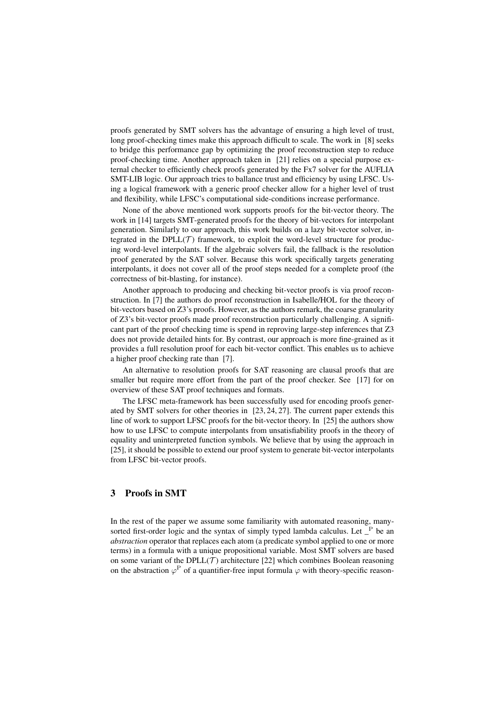proofs generated by SMT solvers has the advantage of ensuring a high level of trust, long proof-checking times make this approach difficult to scale. The work in [8] seeks to bridge this performance gap by optimizing the proof reconstruction step to reduce proof-checking time. Another approach taken in [21] relies on a special purpose external checker to efficiently check proofs generated by the Fx7 solver for the AUFLIA SMT-LIB logic. Our approach tries to ballance trust and efficiency by using LFSC. Using a logical framework with a generic proof checker allow for a higher level of trust and flexibility, while LFSC's computational side-conditions increase performance.

None of the above mentioned work supports proofs for the bit-vector theory. The work in [14] targets SMT-generated proofs for the theory of bit-vectors for interpolant generation. Similarly to our approach, this work builds on a lazy bit-vector solver, integrated in the DPLL(*T*) framework, to exploit the word-level structure for producing word-level interpolants. If the algebraic solvers fail, the fallback is the resolution proof generated by the SAT solver. Because this work specifically targets generating interpolants, it does not cover all of the proof steps needed for a complete proof (the correctness of bit-blasting, for instance).

Another approach to producing and checking bit-vector proofs is via proof reconstruction. In [7] the authors do proof reconstruction in Isabelle/HOL for the theory of bit-vectors based on Z3's proofs. However, as the authors remark, the coarse granularity of Z3's bit-vector proofs made proof reconstruction particularly challenging. A significant part of the proof checking time is spend in reproving large-step inferences that Z3 does not provide detailed hints for. By contrast, our approach is more fine-grained as it provides a full resolution proof for each bit-vector conflict. This enables us to achieve a higher proof checking rate than [7].

An alternative to resolution proofs for SAT reasoning are clausal proofs that are smaller but require more effort from the part of the proof checker. See [17] for on overview of these SAT proof techniques and formats.

The LFSC meta-framework has been successfully used for encoding proofs generated by SMT solvers for other theories in [23, 24, 27]. The current paper extends this line of work to support LFSC proofs for the bit-vector theory. In [25] the authors show how to use LFSC to compute interpolants from unsatisfiability proofs in the theory of equality and uninterpreted function symbols. We believe that by using the approach in [25], it should be possible to extend our proof system to generate bit-vector interpolants from LFSC bit-vector proofs.

# 3 Proofs in SMT

In the rest of the paper we assume some familiarity with automated reasoning, manysorted first-order logic and the syntax of simply typed lambda calculus. Let P be an *abstraction* operator that replaces each atom (a predicate symbol applied to one or more terms) in a formula with a unique propositional variable. Most SMT solvers are based on some variant of the DPLL( $\mathcal T$ ) architecture [22] which combines Boolean reasoning on the abstraction  $\varphi^{\rm P}$  of a quantifier-free input formula  $\varphi$  with theory-specific reason-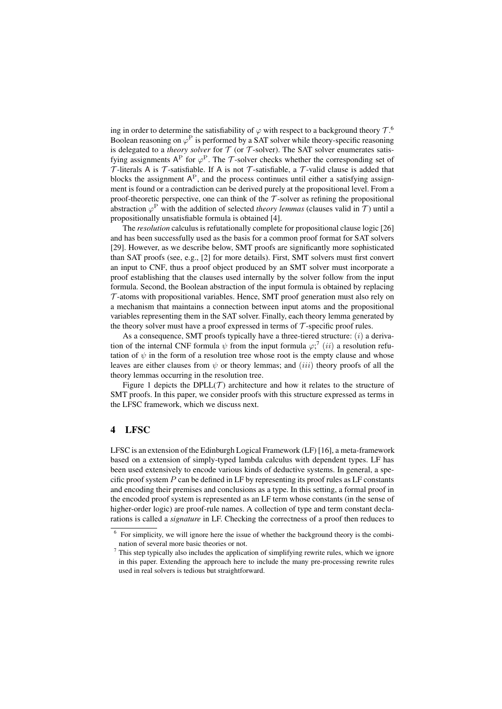ing in order to determine the satisfiability of  $\varphi$  with respect to a background theory  $\mathcal{T}$ .<sup>6</sup> Boolean reasoning on  $\varphi^P$  is performed by a SAT solver while theory-specific reasoning is delegated to a *theory solver* for  $T$  (or  $T$ -solver). The SAT solver enumerates satisfying assignments  $A^P$  for  $\varphi^P$ . The *T*-solver checks whether the corresponding set of *T* -literals A is *T* -satisfiable. If A is not *T* -satisfiable, a *T* -valid clause is added that blocks the assignment  $A<sup>P</sup>$ , and the process continues until either a satisfying assignment is found or a contradiction can be derived purely at the propositional level. From a proof-theoretic perspective, one can think of the  $\mathcal T$ -solver as refining the propositional abstraction  $\varphi^P$  with the addition of selected *theory lemmas* (clauses valid in *T*) until a propositionally unsatisfiable formula is obtained [4].

The *resolution* calculus is refutationally complete for propositional clause logic [26] and has been successfully used as the basis for a common proof format for SAT solvers [29]. However, as we describe below, SMT proofs are significantly more sophisticated than SAT proofs (see, e.g., [2] for more details). First, SMT solvers must first convert an input to CNF, thus a proof object produced by an SMT solver must incorporate a proof establishing that the clauses used internally by the solver follow from the input formula. Second, the Boolean abstraction of the input formula is obtained by replacing *T* -atoms with propositional variables. Hence, SMT proof generation must also rely on a mechanism that maintains a connection between input atoms and the propositional variables representing them in the SAT solver. Finally, each theory lemma generated by the theory solver must have a proof expressed in terms of  $\mathcal T$ -specific proof rules.

As a consequence, SMT proofs typically have a three-tiered structure: (*i*) a derivation of the internal CNF formula  $\psi$  from the input formula  $\varphi$ ;<sup>7</sup> (*ii*) a resolution refutation of  $\psi$  in the form of a resolution tree whose root is the empty clause and whose leaves are either clauses from  $\psi$  or theory lemmas; and *(iii)* theory proofs of all the theory lemmas occurring in the resolution tree.

Figure 1 depicts the DPLL $(T)$  architecture and how it relates to the structure of SMT proofs. In this paper, we consider proofs with this structure expressed as terms in the LFSC framework, which we discuss next.

# 4 LFSC

LFSC is an extension of the Edinburgh Logical Framework (LF) [16], a meta-framework based on a extension of simply-typed lambda calculus with dependent types. LF has been used extensively to encode various kinds of deductive systems. In general, a specific proof system  $P$  can be defined in LF by representing its proof rules as LF constants and encoding their premises and conclusions as a type. In this setting, a formal proof in the encoded proof system is represented as an LF term whose constants (in the sense of higher-order logic) are proof-rule names. A collection of type and term constant declarations is called a *signature* in LF. Checking the correctness of a proof then reduces to

<sup>6</sup> For simplicity, we will ignore here the issue of whether the background theory is the combination of several more basic theories or not.

<sup>7</sup> This step typically also includes the application of simplifying rewrite rules, which we ignore in this paper. Extending the approach here to include the many pre-processing rewrite rules used in real solvers is tedious but straightforward.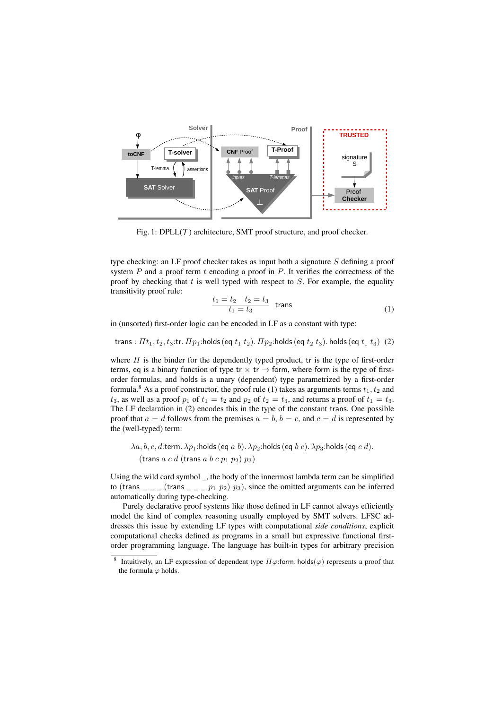

Fig. 1:  $DPLL(\mathcal{T})$  architecture, SMT proof structure, and proof checker.

type checking: an LF proof checker takes as input both a signature *S* defining a proof system *P* and a proof term *t* encoding a proof in *P*. It verifies the correctness of the proof by checking that *t* is well typed with respect to *S*. For example, the equality transitivity proof rule:

$$
\frac{t_1 = t_2 \quad t_2 = t_3}{t_1 = t_3} \quad \text{trans} \tag{1}
$$

in (unsorted) first-order logic can be encoded in LF as a constant with type:

 $t$ rans :  $\pi$ *t*<sub>1</sub>,  $t_2$ ,  $t_3$ :tr.  $\pi$ <sub>*p*1</sub>:holds (eq  $t_1$   $t_2$ ).  $\pi$ <sub>*p*2</sub>:holds (eq  $t_2$   $t_3$ ). holds (eq  $t_1$   $t_3$ ) (2)

where  $\Pi$  is the binder for the dependently typed product, tr is the type of first-order terms, eq is a binary function of type  $tr \times tr \rightarrow$  form, where form is the type of firstorder formulas, and holds is a unary (dependent) type parametrized by a first-order formula.<sup>8</sup> As a proof constructor, the proof rule (1) takes as arguments terms  $t_1, t_2$  and  $t_3$ , as well as a proof  $p_1$  of  $t_1 = t_2$  and  $p_2$  of  $t_2 = t_3$ , and returns a proof of  $t_1 = t_3$ . The LF declaration in (2) encodes this in the type of the constant trans. One possible proof that  $a = d$  follows from the premises  $a = b$ ,  $b = c$ , and  $c = d$  is represented by the (well-typed) term:

$$
\lambda a, b, c, d
$$
:term.  $\lambda p_1$ :holds (eq  $a$   $b$ ).  $\lambda p_2$ :holds (eq  $b$   $c$ ).  $\lambda p_3$ :holds (eq  $c$   $d$ ). (trans  $a$   $c$   $d$  (trans  $a$   $b$   $c$   $p_1$   $p_2$ )  $p_3$ )

Using the wild card symbol \_, the body of the innermost lambda term can be simplified to (trans  $\frac{1}{1}$   $\frac{1}{1}$   $\frac{1}{2}$   $\frac{1}{2}$   $\frac{1}{2}$   $\frac{1}{2}$   $\frac{1}{2}$   $\frac{1}{2}$   $\frac{1}{2}$   $\frac{1}{2}$   $\frac{1}{2}$   $\frac{1}{2}$   $\frac{1}{2}$   $\frac{1}{2}$   $\frac{1}{2}$   $\frac{1}{2}$   $\frac{1}{2}$   $\frac{1}{2}$   $\frac{1}{2}$   $\frac{1}{2}$   $\frac{1}{2}$  automatically during type-checking.

Purely declarative proof systems like those defined in LF cannot always efficiently model the kind of complex reasoning usually employed by SMT solvers. LFSC addresses this issue by extending LF types with computational *side conditions*, explicit computational checks defined as programs in a small but expressive functional firstorder programming language. The language has built-in types for arbitrary precision

<sup>&</sup>lt;sup>8</sup> Intuitively, an LF expression of dependent type  $\Pi\varphi$ :form. holds( $\varphi$ ) represents a proof that the formula  $\varphi$  holds.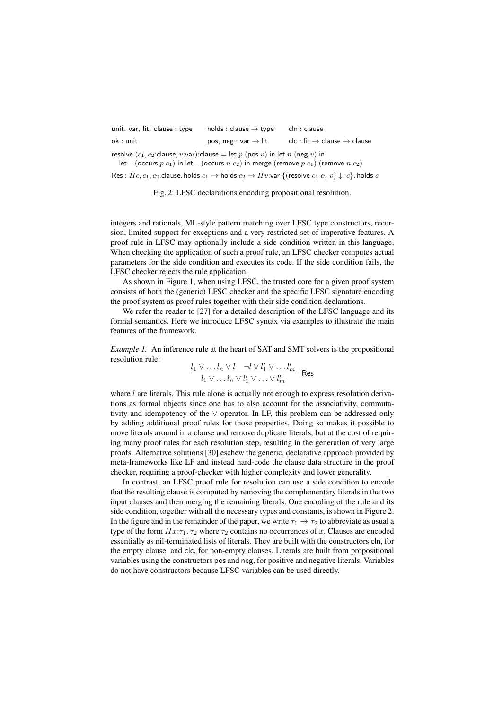| unit, var, lit, clause : type                                                                                                                                                        | holds : clause $\rightarrow$ type | cln : clause                                         |  |  |  |  |  |
|--------------------------------------------------------------------------------------------------------------------------------------------------------------------------------------|-----------------------------------|------------------------------------------------------|--|--|--|--|--|
| ok : unit l                                                                                                                                                                          | pos, neg : var $\rightarrow$ lit  | $clc:$ lit $\rightarrow$ clause $\rightarrow$ clause |  |  |  |  |  |
| resolve $(c_1, c_2$ : clause, v: var): clause = let p (pos v) in let n (neg v) in<br>let _ (occurs $p c_1$ ) in let _ (occurs $n c_2$ ) in merge (remove $p c_1$ ) (remove $n c_2$ ) |                                   |                                                      |  |  |  |  |  |
| Res : $\Pi c, c_1, c_2$ : clause. holds $c_1 \to$ holds $c_2 \to \Pi v$ : var $\{($ resolve $c_1 \ c_2 \ v) \downarrow \ c$ }. holds $c$                                             |                                   |                                                      |  |  |  |  |  |

Fig. 2: LFSC declarations encoding propositional resolution.

integers and rationals, ML-style pattern matching over LFSC type constructors, recursion, limited support for exceptions and a very restricted set of imperative features. A proof rule in LFSC may optionally include a side condition written in this language. When checking the application of such a proof rule, an LFSC checker computes actual parameters for the side condition and executes its code. If the side condition fails, the LFSC checker rejects the rule application.

As shown in Figure 1, when using LFSC, the trusted core for a given proof system consists of both the (generic) LFSC checker and the specific LFSC signature encoding the proof system as proof rules together with their side condition declarations.

We refer the reader to [27] for a detailed description of the LFSC language and its formal semantics. Here we introduce LFSC syntax via examples to illustrate the main features of the framework.

*Example 1.* An inference rule at the heart of SAT and SMT solvers is the propositional resolution rule:

$$
\frac{l_1 \vee \ldots l_n \vee l \quad \neg l \vee l'_1 \vee \ldots l'_m}{l_1 \vee \ldots l_n \vee l'_1 \vee \ldots \vee l'_m}
$$
 Res

where *l* are literals. This rule alone is actually not enough to express resolution derivations as formal objects since one has to also account for the associativity, commutativity and idempotency of the  $\vee$  operator. In LF, this problem can be addressed only by adding additional proof rules for those properties. Doing so makes it possible to move literals around in a clause and remove duplicate literals, but at the cost of requiring many proof rules for each resolution step, resulting in the generation of very large proofs. Alternative solutions [30] eschew the generic, declarative approach provided by meta-frameworks like LF and instead hard-code the clause data structure in the proof checker, requiring a proof-checker with higher complexity and lower generality.

In contrast, an LFSC proof rule for resolution can use a side condition to encode that the resulting clause is computed by removing the complementary literals in the two input clauses and then merging the remaining literals. One encoding of the rule and its side condition, together with all the necessary types and constants, is shown in Figure 2. In the figure and in the remainder of the paper, we write  $\tau_1 \rightarrow \tau_2$  to abbreviate as usual a type of the form  $\prod x:\tau_1$ .  $\tau_2$  where  $\tau_2$  contains no occurrences of *x*. Clauses are encoded essentially as nil-terminated lists of literals. They are built with the constructors cln, for the empty clause, and clc, for non-empty clauses. Literals are built from propositional variables using the constructors pos and neg, for positive and negative literals. Variables do not have constructors because LFSC variables can be used directly.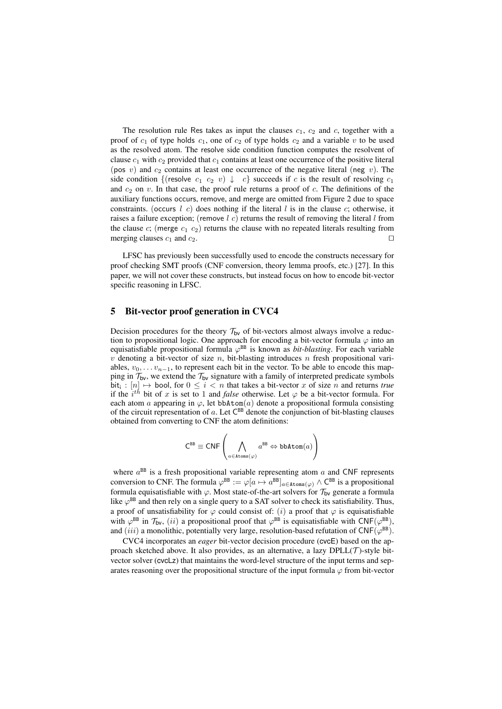The resolution rule Res takes as input the clauses  $c_1$ ,  $c_2$  and  $c$ , together with a proof of  $c_1$  of type holds  $c_1$ , one of  $c_2$  of type holds  $c_2$  and a variable  $v$  to be used as the resolved atom. The resolve side condition function computes the resolvent of clause  $c_1$  with  $c_2$  provided that  $c_1$  contains at least one occurrence of the positive literal (pos  $v$ ) and  $c_2$  contains at least one occurrence of the negative literal (neg  $v$ ). The side condition {(resolve  $c_1$   $c_2$   $v$ )  $\downarrow$   $c$ } succeeds if *c* is the result of resolving  $c_1$ and  $c_2$  on  $v$ . In that case, the proof rule returns a proof of  $c$ . The definitions of the auxiliary functions occurs, remove, and merge are omitted from Figure 2 due to space constraints. (occurs *l c*) does nothing if the literal *l* is in the clause *c*; otherwise, it raises a failure exception; (remove *l c*) returns the result of removing the literal *l* from the clause  $c$ ; (merge  $c_1$   $c_2$ ) returns the clause with no repeated literals resulting from merging clauses  $c_1$  and  $c_2$ .

LFSC has previously been successfully used to encode the constructs necessary for proof checking SMT proofs (CNF conversion, theory lemma proofs, etc.) [27]. In this paper, we will not cover these constructs, but instead focus on how to encode bit-vector specific reasoning in LFSC.

## 5 Bit-vector proof generation in CVC4

Decision procedures for the theory  $\mathcal{T}_{bv}$  of bit-vectors almost always involve a reduction to propositional logic. One approach for encoding a bit-vector formula  $\varphi$  into an equisatisfiable propositional formula  $\varphi^{BB}$  is known as *bit-blasting*. For each variable *v* denoting a bit-vector of size *n*, bit-blasting introduces *n* fresh propositional variables,  $v_0, \ldots, v_{n-1}$ , to represent each bit in the vector. To be able to encode this mapping in  $\mathcal{T}_{\text{bv}}$ , we extend the  $\mathcal{T}_{\text{bv}}$  signature with a family of interpreted predicate symbols bit<sub>i</sub> :  $[n] \mapsto$  bool, for  $0 \le i < n$  that takes a bit-vector *x* of size *n* and returns *true* if the  $i^{th}$  bit of x is set to 1 and *false* otherwise. Let  $\varphi$  be a bit-vector formula. For each atom *a* appearing in  $\varphi$ , let bbAtom(*a*) denote a propositional formula consisting of the circuit representation of  $a$ . Let  $C^{BB}$  denote the conjunction of bit-blasting clauses obtained from converting to CNF the atom definitions:

$$
\mathsf{C}^{\text{BB}}\equiv\mathsf{CNF}\left(\bigwedge_{a\in\mathtt{Atoms}(\varphi)}a^{\text{BB}}\Leftrightarrow\mathtt{bbAtom}(a)\right)
$$

where  $a^{BB}$  is a fresh propositional variable representing atom  $a$  and CNF represents conversion to CNF. The formula  $\varphi^{BB} := \varphi[a \mapsto a^{BB}]_{a \in \text{Atoms}(\varphi)} \wedge C^{BB}$  is a propositional formula equisatisfiable with  $\varphi$ . Most state-of-the-art solvers for  $\mathcal{T}_{bv}$  generate a formula like  $\varphi^{BB}$  and then rely on a single query to a SAT solver to check its satisfiability. Thus, a proof of unsatisfiability for  $\varphi$  could consist of: (*i*) a proof that  $\varphi$  is equisatisfiable with  $\varphi^{BB}$  in  $\mathcal{T}_{\mathsf{bv}}$ , (*ii*) a propositional proof that  $\varphi^{BB}$  is equisatisfiable with CNF( $\varphi^{BB}$ ), and (*iii*) a monolithic, potentially very large, resolution-based refutation of  $CNF(\varphi^{BB})$ .

CVC4 incorporates an *eager* bit-vector decision procedure (cvcE) based on the approach sketched above. It also provides, as an alternative, a lazy DPLL(*T* )-style bitvector solver (cvcLz) that maintains the word-level structure of the input terms and separates reasoning over the propositional structure of the input formula  $\varphi$  from bit-vector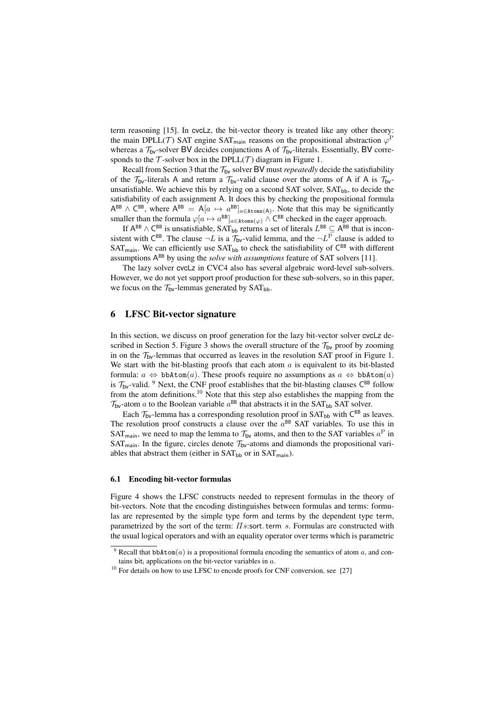term reasoning [15]. In cvcLz, the bit-vector theory is treated like any other theory: the main DPLL(*T*) SAT engine SAT<sub>main</sub> reasons on the propositional abstraction  $\varphi^F$ whereas a  $\mathcal{T}_{bv}$ -solver BV decides conjunctions A of  $\mathcal{T}_{bv}$ -literals. Essentially, BV corresponds to the  $\mathcal T$ -solver box in the DPLL( $\mathcal T$ ) diagram in Figure 1.

Recall from Section 3 that the  $T_{bv}$  solver BV must *repeatedly* decide the satisfiability of the  $T_{\text{bv}}$ -literals A and return a  $T_{\text{bv}}$ -valid clause over the atoms of A if A is  $T_{\text{bv}}$ unsatisfiable. We achieve this by relying on a second SAT solver,  $SAT<sub>bb</sub>$ , to decide the satisfiability of each assignment A. It does this by checking the propositional formula  $A^{BB} \wedge C^{BB}$ , where  $A^{BB} = A[a \mapsto a^{BB}]_{a \in Atoms(A)}$ . Note that this may be significantly smaller than the formula  $\varphi[a \mapsto a^{BB}]_{a \in \text{Atoms}(\varphi)} \wedge C^{BB}$  checked in the eager approach.

If  $A^{BB} \wedge C^{BB}$  is unsatisfiable,  $SAT_{bb}$  returns a set of literals  $L^{BB} \subset A^{BB}$  that is inconsistent with C<sup>BB</sup>. The clause  $\neg L$  is a  $\mathcal{T}_{bv}$ -valid lemma, and the  $\neg L^P$  clause is added to  $SAT_{\text{main}}$ . We can efficiently use  $SAT_{\text{bb}}$  to check the satisfiability of  $C^{\text{BB}}$  with different assumptions ABB by using the *solve with assumptions* feature of SAT solvers [11].

The lazy solver cvcLz in CVC4 also has several algebraic word-level sub-solvers. However, we do not yet support proof production for these sub-solvers, so in this paper, we focus on the  $T_{bv}$ -lemmas generated by  $SAT_{bb}$ .

### 6 LFSC Bit-vector signature

In this section, we discuss on proof generation for the lazy bit-vector solver cvcLz described in Section 5. Figure 3 shows the overall structure of the  $\mathcal{T}_{bv}$  proof by zooming in on the  $\mathcal{T}_{bv}$ -lemmas that occurred as leaves in the resolution SAT proof in Figure 1. We start with the bit-blasting proofs that each atom *a* is equivalent to its bit-blasted formula:  $a \Leftrightarrow \text{bbAtom}(a)$ . These proofs require no assumptions as  $a \Leftrightarrow \text{bbAtom}(a)$ is  $\mathcal{T}_{\text{bv}}$ -valid. <sup>9</sup> Next, the CNF proof establishes that the bit-blasting clauses  $\mathsf{C}^{\text{BB}}$  follow from the atom definitions.<sup>10</sup> Note that this step also establishes the mapping from the  $\mathcal{T}_{\mathsf{bv}}$ -atom *a* to the Boolean variable  $a^{\mathsf{BB}}$  that abstracts it in the SAT<sub>bb</sub> SAT solver.

Each  $\mathcal{T}_{bv}$ -lemma has a corresponding resolution proof in SAT<sub>bb</sub> with  $C^{BB}$  as leaves. The resolution proof constructs a clause over the  $a^{BB}$  SAT variables. To use this in SAT<sub>main</sub>, we need to map the lemma to  $\mathcal{T}_{bv}$  atoms, and then to the SAT variables  $a^P$  in SAT<sub>main</sub>. In the figure, circles denote  $\mathcal{T}_{bv}$ -atoms and diamonds the propositional variables that abstract them (either in  $SAT<sub>bb</sub>$  or in  $SAT<sub>main</sub>$ ).

#### 6.1 Encoding bit-vector formulas

Figure 4 shows the LFSC constructs needed to represent formulas in the theory of bit-vectors. Note that the encoding distinguishes between formulas and terms: formulas are represented by the simple type form and terms by the dependent type term, parametrized by the sort of the term:  $\pi s$ :sort.term  $\hat{s}$ . Formulas are constructed with the usual logical operators and with an equality operator over terms which is parametric

<sup>&</sup>lt;sup>9</sup> Recall that  $bbAtom(a)$  is a propositional formula encoding the semantics of atom  $a$ , and contains bit<sub>i</sub> applications on the bit-vector variables in  $a$ .

 $10$  For details on how to use LFSC to encode proofs for CNF conversion, see [27]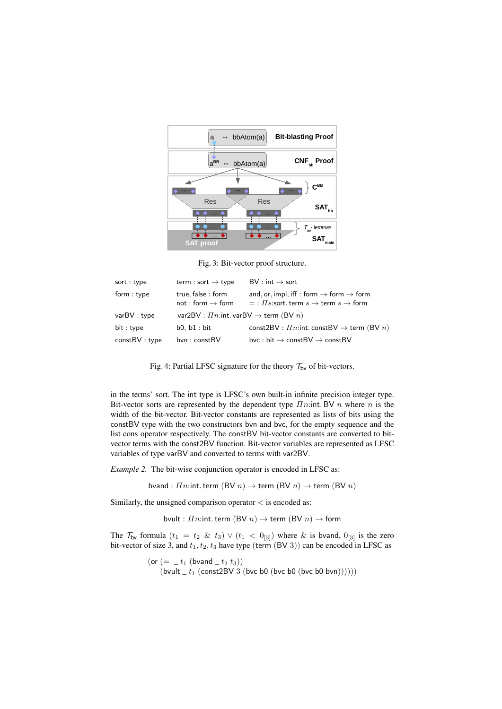

Fig. 3: Bit-vector proof structure.

| sort: type   | term : sort $\rightarrow$ type                                 | $BV: int \rightarrow sort$                                                                                           |  |  |  |
|--------------|----------------------------------------------------------------|----------------------------------------------------------------------------------------------------------------------|--|--|--|
| form : type  | true, false : form<br>not : form $\rightarrow$ form            | and, or, impl, iff : form $\rightarrow$ form $\rightarrow$ form<br>$=$ : $\Pi$ s:sort.term $s \to$ term $s \to$ form |  |  |  |
| varBV:type   | var2BV : $\overline{I}n$ :int. varBV $\rightarrow$ term (BV n) |                                                                                                                      |  |  |  |
| bit : type   | b0, b1 : bit                                                   | const2BV : $\textit{In}$ : int. constBV $\rightarrow$ term (BV n)                                                    |  |  |  |
| constBV:type | byn: constBV                                                   | bvc: bit $\rightarrow$ constBV $\rightarrow$ constBV                                                                 |  |  |  |

Fig. 4: Partial LFSC signature for the theory  $\mathcal{T}_{bv}$  of bit-vectors.

in the terms' sort. The int type is LFSC's own built-in infinite precision integer type. Bit-vector sorts are represented by the dependent type  $\overline{I}$ *n*:int. BV *n* where *n* is the width of the bit-vector. Bit-vector constants are represented as lists of bits using the constBV type with the two constructors bvn and bvc, for the empty sequence and the list cons operator respectively. The constBV bit-vector constants are converted to bitvector terms with the const2BV function. Bit-vector variables are represented as LFSC variables of type varBV and converted to terms with var2BV.

*Example 2.* The bit-wise conjunction operator is encoded in LFSC as:

bvand :  $\overline{I}n$ :int. term (BV  $n$ )  $\rightarrow$  term (BV  $n$ )  $\rightarrow$  term (BV  $n$ )

Similarly, the unsigned comparison operator *<* is encoded as:

bvult :  $\overline{I}n$ :int.term (BV  $n$ )  $\rightarrow$  term (BV  $n$ )  $\rightarrow$  form

The  $\mathcal{T}_{\mathsf{bv}}$  formula  $(t_1 = t_2 \& t_3) \vee (t_1 < 0_{[3]})$  where  $\&$  is bvand,  $0_{[3]}$  is the zero bit-vector of size 3, and *t*1*, t*2*, t*<sup>3</sup> have type (term (BV 3)) can be encoded in LFSC as

> (or  $(=$   $- t_1$  (bvand  $- t_2 t_3)$ )  $(bvult_t_t (const2BV 3 (bvc b0 (bvc b0 (bvc b0 bvn))))))$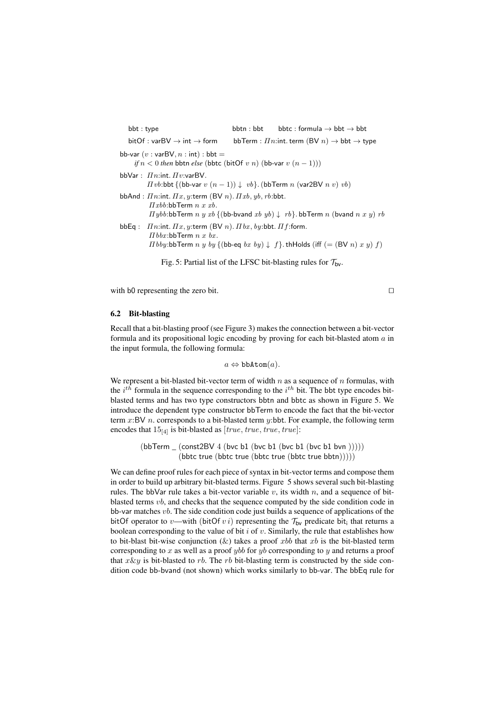bbt : type bbtn : bbt bbtc : formula  $\rightarrow$  bbt  $\rightarrow$  bbt  $\text{bitOf}: \text{varBV} \to \text{int} \to \text{form}$  bbTerm :  $\text{In:}$  int. term  $(\text{BV } n) \to \text{bbt} \to \text{type}$ bb-var  $(v : varBV, n : int) : bbt =$ *if*  $n < 0$  *then* bbtn *else* (bbtc (bitOf *v n*) (bb-var  $v(n-1)$ )) bbVar :  $\mathit{\Pi} n$ :int.  $\mathit{\Pi} v$ :varBV.  $\Pi$ *vb*:bbt {(bb-var  $v(n-1)$ )  $\downarrow$   $vb$ }. (bbTerm  $n$  (var2BV  $n$   $v$ )  $vb$ )  $bbAnd: \Pi n$ :int.  $\Pi x, y$ :term (BV *n*).  $\Pi xb, yb, rb:$ bbt. ⇧*xbb*:bbTerm *n x xb.*  $\Box$ *ybb*:bbTerm *n y xb* {(bb-bvand *xb yb*)  $\downarrow$  *rb*}. bbTerm *n* (bvand *n x y) rb*  $b$ b $b$ Eq :  $\pi$ *n*:int*.*  $\pi$ *x*,  $y$ :term (BV *n*)*.*  $\pi$ *bx*,  $by$ :bbt*.*  $\pi$ *f*:form*.*  $\Pi$ *bbx*: $bb$ Term  $n x$  *bx*.  $I\rightarrow I$ *bby*:bbTerm *n y by*  $\{(\text{bb-eq } bx \, by) \downarrow f\}$ *.*thHolds (iff  $(=(BV n) x y) f$ )

Fig. 5: Partial list of the LFSC bit-blasting rules for  $\mathcal{T}_{bv}$ .

with b0 representing the zero bit.  $\Box$ 

#### 6.2 Bit-blasting

Recall that a bit-blasting proof (see Figure 3) makes the connection between a bit-vector formula and its propositional logic encoding by proving for each bit-blasted atom *a* in the input formula, the following formula:

 $a \Leftrightarrow \texttt{bbAtom}(a)$ .

We represent a bit-blasted bit-vector term of width *n* as a sequence of *n* formulas, with the *i th* formula in the sequence corresponding to the *i th* bit. The bbt type encodes bitblasted terms and has two type constructors bbtn and bbtc as shown in Figure 5. We introduce the dependent type constructor bbTerm to encode the fact that the bit-vector term *x*:BV *n*. corresponds to a bit-blasted term *y*:bbt. For example, the following term encodes that 15[4] is bit-blasted as [*true, true, true, true*]:

> (bbTerm \_ (const2BV 4 (bvc b1 (bvc b1 (bvc b1 (bvc b1 bvn ))))) (bbtc true (bbtc true (bbtc true (bbtc true bbtn)))))

We can define proof rules for each piece of syntax in bit-vector terms and compose them in order to build up arbitrary bit-blasted terms. Figure 5 shows several such bit-blasting rules. The bbVar rule takes a bit-vector variable  $v$ , its width  $n$ , and a sequence of bitblasted terms *vb*, and checks that the sequence computed by the side condition code in bb-var matches *vb*. The side condition code just builds a sequence of applications of the bitOf operator to *v*—with (bitOf *v i*) representing the  $\mathcal{T}_{bv}$  predicate bit<sub>i</sub> that returns a boolean corresponding to the value of bit *i* of *v*. Similarly, the rule that establishes how to bit-blast bit-wise conjunction  $(x)$  takes a proof *xbb* that *xb* is the bit-blasted term corresponding to *x* as well as a proof *ybb* for *yb* corresponding to *y* and returns a proof that *x*&*y* is bit-blasted to *rb*. The *rb* bit-blasting term is constructed by the side condition code bb-bvand (not shown) which works similarly to bb-var. The bbEq rule for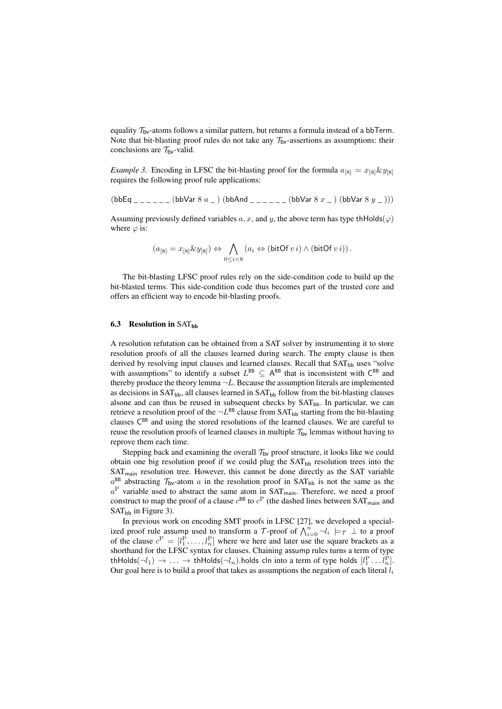equality  $\mathcal{T}_{\mathsf{bv}}$ -atoms follows a similar pattern, but returns a formula instead of a bbTerm. Note that bit-blasting proof rules do not take any  $\mathcal{T}_{\mathsf{bv}}$ -assertions as assumptions: their conclusions are  $\mathcal{T}_{\text{bv}}$ -valid.

*Example 3.* Encoding in LFSC the bit-blasting proof for the formula  $a_{[8]} = x_{[8]} \& y_{[8]}$ requires the following proof rule applications:

 $(bbEq_{ \_ \_ \_ \_ \_ \_ \_ }(bbbVar 8 a_ ) (bbAnd_{ \_ \_ \_ \_ \_ }(bbbVar 8 x_ ) (bbVar 8 y_ ) ))$ 

Assuming previously defined variables a, x, and y, the above term has type the Holds( $\varphi$ ) where  $\varphi$  is:

$$
(a_{[8]} = x_{[8]} \& y_{[8]}) \Leftrightarrow \bigwedge_{0 \leq i < 8} (a_i \Leftrightarrow (\text{bitOf } v i) \wedge (\text{bitOf } v i)) \, .
$$

The bit-blasting LFSC proof rules rely on the side-condition code to build up the bit-blasted terms. This side-condition code thus becomes part of the trusted core and offers an efficient way to encode bit-blasting proofs.

#### 6.3 Resolution in  $SAT_{bb}$

A resolution refutation can be obtained from a SAT solver by instrumenting it to store resolution proofs of all the clauses learned during search. The empty clause is then derived by resolving input clauses and learned clauses. Recall that SAT<sub>bb</sub> uses "solve with assumptions" to identify a subset  $L^{BB} \subseteq A^{BB}$  that is inconsistent with  $C^{BB}$  and thereby produce the theory lemma  $\neg L$ . Because the assumption literals are implemented as decisions in  $SAT<sub>bb</sub>$ , all clauses learned in  $SAT<sub>bb</sub>$  follow from the bit-blasting clauses alsone and can thus be reused in subsequent checks by SAT<sub>bb</sub>. In particular, we can retrieve a resolution proof of the  $\neg L^{BB}$  clause from SAT<sub>bb</sub> starting from the bit-blasting clauses  $C^{BB}$  and using the stored resolutions of the learned clauses. We are careful to reuse the resolution proofs of learned clauses in multiple  $\mathcal{T}_{bv}$  lemmas without having to reprove them each time.

Stepping back and examining the overall  $\mathcal{T}_{\mathsf{bv}}$  proof structure, it looks like we could obtain one big resolution proof if we could plug the  $SAT<sub>bb</sub>$  resolution trees into the SAT<sub>main</sub> resolution tree. However, this cannot be done directly as the SAT variable  $a^{BB}$  abstracting  $\mathcal{T}_{bv}$ -atom *a* in the resolution proof in SAT<sub>bb</sub> is not the same as the  $a<sup>P</sup>$  variable used to abstract the same atom in SAT<sub>main</sub>. Therefore, we need a proof construct to map the proof of a clause  $c^{BB}$  to  $c^P$  (the dashed lines between SAT<sub>main</sub> and  $SAT<sub>bb</sub>$  in Figure 3).

In previous work on encoding SMT proofs in LFSC [27], we developed a specialized proof rule assump used to transform a *T*-proof of  $\bigwedge_{i=0}^{n} \neg l_i \models \tau \bot$  to a proof of the clause  $c^P = [l_1^P, \ldots, l_n^P]$  where we here and later use the square brackets as a shorthand for the LFSC syntax for clauses. Chaining assump rules turns a term of type  ${\rm thHolds}(\neg l_1) \rightarrow \ldots \rightarrow {\rm thHolds}(\neg l_n)$ .holds cln into a term of type holds  $[l_1^{\rm P} \ldots l_n^{\rm P}]$ . Our goal here is to build a proof that takes as assumptions the negation of each literal *l<sup>i</sup>*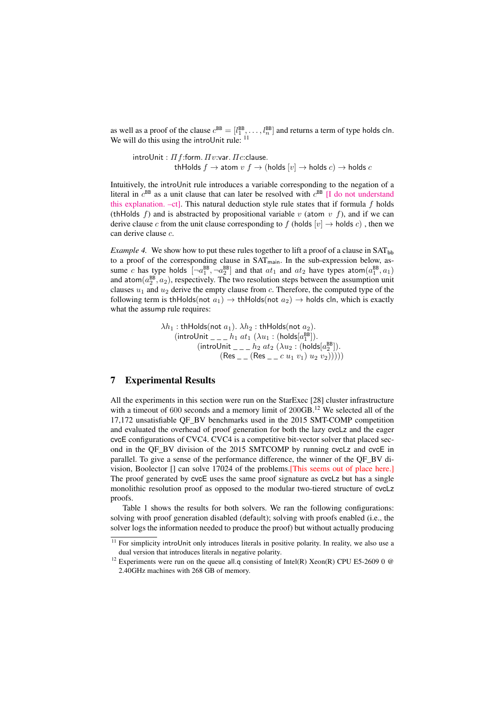as well as a proof of the clause  $c^{BB} = [l_1^{BB}, \ldots, l_n^{BB}]$  and returns a term of type holds cln. We will do this using the introUnit rule: <sup>11</sup>

 $int$ roUnit :  $\Pi$  *f*:form.  $\Pi$ *v*:var.  $\Pi$ *c*:clause. thHolds  $f \rightarrow$  atom  $v f \rightarrow$  (holds  $[v] \rightarrow$  holds  $c$ )  $\rightarrow$  holds  $c$ 

Intuitively, the introUnit rule introduces a variable corresponding to the negation of a literal in  $c^{BB}$  as a unit clause that can later be resolved with  $c^{BB}$  [I do not understand this explanation. –ct]. This natural deduction style rule states that if formula *f* holds (thHolds  $f$ ) and is abstracted by propositional variable  $v$  (atom  $v$   $f$ ), and if we can derive clause *c* from the unit clause corresponding to f (holds  $[v] \rightarrow$  holds *c*), then we can derive clause *c*.

*Example 4.* We show how to put these rules together to lift a proof of a clause in  $SAT_{bh}$ to a proof of the corresponding clause in SAT<sub>main</sub>. In the sub-expression below, assume *c* has type holds  $\left[\neg a_1^{\text{BB}}, \neg a_2^{\text{BB}}\right]$  and that  $at_1$  and  $at_2$  have types atom $\left(a_1^{\text{BB}}, a_1\right)$ and  $atom(a_2^{BB}, a_2)$ , respectively. The two resolution steps between the assumption unit clauses  $u_1$  and  $u_2$  derive the empty clause from  $c$ . Therefore, the computed type of the following term is thHolds(not  $a_1$ )  $\rightarrow$  thHolds(not  $a_2$ )  $\rightarrow$  holds cln, which is exactly what the assump rule requires:

$$
\lambda h_1: \text{thHolds}(\text{not } a_1). \lambda h_2: \text{thHolds}(\text{not } a_2).
$$
  
\n(introllit  $\_\_$  in  $dt_1$  ( $\lambda u_1$ : (holds[ $a_1^{\text{BB}}$ ]).  
\n(introllit  $\_\_$  in  $dt_2$  ( $\lambda u_2$ : (holds[ $a_2^{\text{BB}}$ ]).  
\n(Res  $\_\_$  (Res  $\_\_$  in  $u_1$ )  $u_2$   $v_2))))))$ 

# 7 Experimental Results

All the experiments in this section were run on the StarExec [28] cluster infrastructure with a timeout of 600 seconds and a memory limit of 200GB.<sup>12</sup> We selected all of the 17,172 unsatisfiable QF\_BV benchmarks used in the 2015 SMT-COMP competition and evaluated the overhead of proof generation for both the lazy cvcLz and the eager cvcE configurations of CVC4. CVC4 is a competitive bit-vector solver that placed second in the QF\_BV division of the 2015 SMTCOMP by running cvcLz and cvcE in parallel. To give a sense of the performance difference, the winner of the QF\_BV division, Boolector [] can solve 17024 of the problems.[This seems out of place here.] The proof generated by cvcE uses the same proof signature as cvcLz but has a single monolithic resolution proof as opposed to the modular two-tiered structure of cvcLz proofs.

Table 1 shows the results for both solvers. We ran the following configurations: solving with proof generation disabled (default); solving with proofs enabled (i.e., the solver logs the information needed to produce the proof) but without actually producing

<sup>&</sup>lt;sup>11</sup> For simplicity introUnit only introduces literals in positive polarity. In reality, we also use a dual version that introduces literals in negative polarity.

<sup>&</sup>lt;sup>12</sup> Experiments were run on the queue all.q consisting of Intel(R) Xeon(R) CPU E5-2609 0  $\circ$ 2.40GHz machines with 268 GB of memory.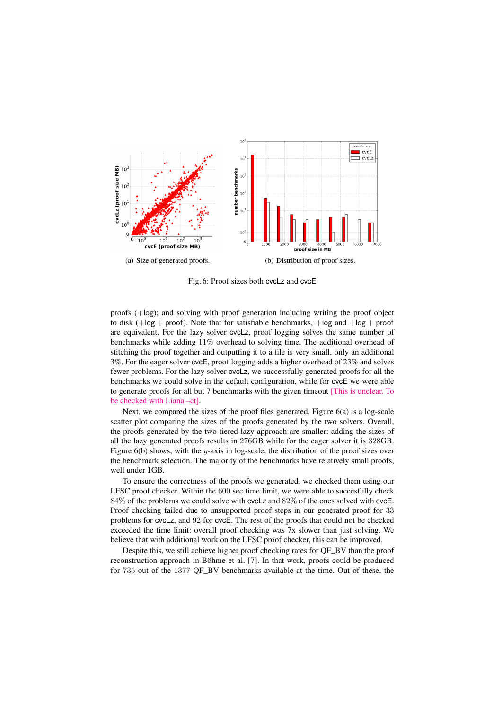

Fig. 6: Proof sizes both cvcLz and cvcE

proofs (+log); and solving with proof generation including writing the proof object to disk  $(+\log + \text{proof})$ . Note that for satisfiable benchmarks,  $+\log$  and  $+\log + \text{proof}$ are equivalent. For the lazy solver cvcLz, proof logging solves the same number of benchmarks while adding 11% overhead to solving time. The additional overhead of stitching the proof together and outputting it to a file is very small, only an additional 3%. For the eager solver cvcE, proof logging adds a higher overhead of 23% and solves fewer problems. For the lazy solver cvcLz, we successfully generated proofs for all the benchmarks we could solve in the default configuration, while for cvcE we were able to generate proofs for all but 7 benchmarks with the given timeout [This is unclear. To be checked with Liana –ct].

Next, we compared the sizes of the proof files generated. Figure  $6(a)$  is a log-scale scatter plot comparing the sizes of the proofs generated by the two solvers. Overall, the proofs generated by the two-tiered lazy approach are smaller: adding the sizes of all the lazy generated proofs results in 276GB while for the eager solver it is 328GB. Figure 6(b) shows, with the *y*-axis in log-scale, the distribution of the proof sizes over the benchmark selection. The majority of the benchmarks have relatively small proofs, well under 1GB.

To ensure the correctness of the proofs we generated, we checked them using our LFSC proof checker. Within the 600 sec time limit, we were able to succesfully check 84% of the problems we could solve with cvcLz and 82% of the ones solved with cvcE. Proof checking failed due to unsupported proof steps in our generated proof for 33 problems for cvcLz, and 92 for cvcE. The rest of the proofs that could not be checked exceeded the time limit: overall proof checking was 7x slower than just solving. We believe that with additional work on the LFSC proof checker, this can be improved.

Despite this, we still achieve higher proof checking rates for QF\_BV than the proof reconstruction approach in Böhme et al. [7]. In that work, proofs could be produced for 735 out of the 1377 QF\_BV benchmarks available at the time. Out of these, the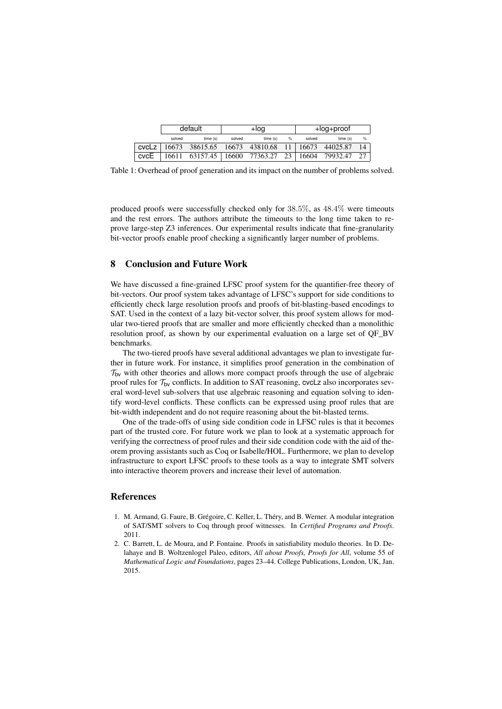|      | default |                                                                 | +log   |         | +log+proof |        |         |                 |
|------|---------|-----------------------------------------------------------------|--------|---------|------------|--------|---------|-----------------|
|      | solved  | time(s)                                                         | solved | time(s) | $\%$       | solved | time(s) | %               |
|      |         | cvcLz   $16673$ 38615.65   $16673$ 43810.68 11   16673 44025.87 |        |         |            |        |         |                 |
| cvcE |         | 16611 63157.45   16600 77363.27 23   16604 79932.47             |        |         |            |        |         | 27 <sub>1</sub> |

Table 1: Overhead of proof generation and its impact on the number of problems solved.

produced proofs were successfully checked only for 38*.*5%, as 48*.*4% were timeouts and the rest errors. The authors attribute the timeouts to the long time taken to reprove large-step Z3 inferences. Our experimental results indicate that fine-granularity bit-vector proofs enable proof checking a significantly larger number of problems.

# 8 Conclusion and Future Work

We have discussed a fine-grained LFSC proof system for the quantifier-free theory of bit-vectors. Our proof system takes advantage of LFSC's support for side conditions to efficiently check large resolution proofs and proofs of bit-blasting-based encodings to SAT. Used in the context of a lazy bit-vector solver, this proof system allows for modular two-tiered proofs that are smaller and more efficiently checked than a monolithic resolution proof, as shown by our experimental evaluation on a large set of QF\_BV benchmarks.

The two-tiered proofs have several additional advantages we plan to investigate further in future work. For instance, it simplifies proof generation in the combination of  $\mathcal{T}_{\mathsf{bv}}$  with other theories and allows more compact proofs through the use of algebraic proof rules for *T*bv conflicts. In addition to SAT reasoning, cvcLz also incorporates several word-level sub-solvers that use algebraic reasoning and equation solving to identify word-level conflicts. These conflicts can be expressed using proof rules that are bit-width independent and do not require reasoning about the bit-blasted terms.

One of the trade-offs of using side condition code in LFSC rules is that it becomes part of the trusted core. For future work we plan to look at a systematic approach for verifying the correctness of proof rules and their side condition code with the aid of theorem proving assistants such as Coq or Isabelle/HOL. Furthermore, we plan to develop infrastructure to export LFSC proofs to these tools as a way to integrate SMT solvers into interactive theorem provers and increase their level of automation.

# **References**

- 1. M. Armand, G. Faure, B. Grégoire, C. Keller, L. Théry, and B. Werner. A modular integration of SAT/SMT solvers to Coq through proof witnesses. In *Certified Programs and Proofs*. 2011.
- 2. C. Barrett, L. de Moura, and P. Fontaine. Proofs in satisfiability modulo theories. In D. Delahaye and B. Woltzenlogel Paleo, editors, *All about Proofs, Proofs for All*, volume 55 of *Mathematical Logic and Foundations*, pages 23–44. College Publications, London, UK, Jan. 2015.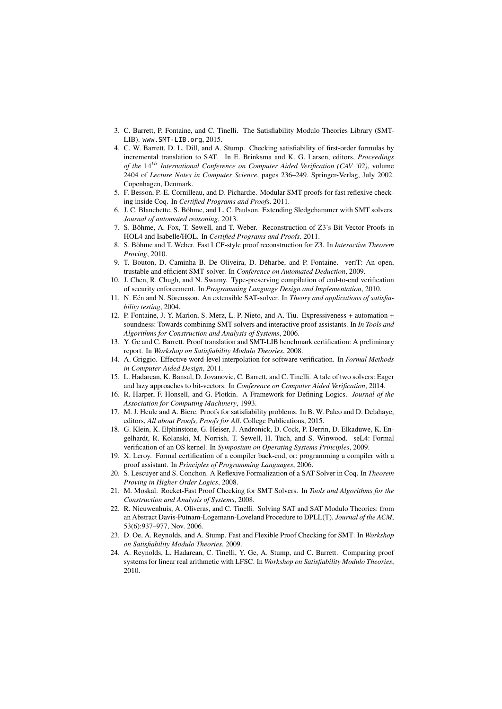- 3. C. Barrett, P. Fontaine, and C. Tinelli. The Satisfiability Modulo Theories Library (SMT-LIB). www.SMT-LIB.org, 2015.
- 4. C. W. Barrett, D. L. Dill, and A. Stump. Checking satisfiability of first-order formulas by incremental translation to SAT. In E. Brinksma and K. G. Larsen, editors, *Proceedings of the* 14*th International Conference on Computer Aided Verification (CAV '02)*, volume 2404 of *Lecture Notes in Computer Science*, pages 236–249. Springer-Verlag, July 2002. Copenhagen, Denmark.
- 5. F. Besson, P.-E. Cornilleau, and D. Pichardie. Modular SMT proofs for fast reflexive checking inside Coq. In *Certified Programs and Proofs*. 2011.
- 6. J. C. Blanchette, S. Böhme, and L. C. Paulson. Extending Sledgehammer with SMT solvers. *Journal of automated reasoning*, 2013.
- 7. S. Böhme, A. Fox, T. Sewell, and T. Weber. Reconstruction of Z3's Bit-Vector Proofs in HOL4 and Isabelle/HOL. In *Certified Programs and Proofs*. 2011.
- 8. S. Böhme and T. Weber. Fast LCF-style proof reconstruction for Z3. In *Interactive Theorem Proving*, 2010.
- 9. T. Bouton, D. Caminha B. De Oliveira, D. Déharbe, and P. Fontaine. veriT: An open, trustable and efficient SMT-solver. In *Conference on Automated Deduction*, 2009.
- 10. J. Chen, R. Chugh, and N. Swamy. Type-preserving compilation of end-to-end verification of security enforcement. In *Programming Language Design and Implementation*, 2010.
- 11. N. Eén and N. Sörensson. An extensible SAT-solver. In *Theory and applications of satisfiability testing*, 2004.
- 12. P. Fontaine, J. Y. Marion, S. Merz, L. P. Nieto, and A. Tiu. Expressiveness + automation + soundness: Towards combining SMT solvers and interactive proof assistants. In *In Tools and Algorithms for Construction and Analysis of Systems*, 2006.
- 13. Y. Ge and C. Barrett. Proof translation and SMT-LIB benchmark certification: A preliminary report. In *Workshop on Satisfiability Modulo Theories*, 2008.
- 14. A. Griggio. Effective word-level interpolation for software verification. In *Formal Methods in Computer-Aided Design*, 2011.
- 15. L. Hadarean, K. Bansal, D. Jovanovic, C. Barrett, and C. Tinelli. A tale of two solvers: Eager and lazy approaches to bit-vectors. In *Conference on Computer Aided Verification*, 2014.
- 16. R. Harper, F. Honsell, and G. Plotkin. A Framework for Defining Logics. *Journal of the Association for Computing Machinery*, 1993.
- 17. M. J. Heule and A. Biere. Proofs for satisfiability problems. In B. W. Paleo and D. Delahaye, editors, *All about Proofs, Proofs for All*. College Publications, 2015.
- 18. G. Klein, K. Elphinstone, G. Heiser, J. Andronick, D. Cock, P. Derrin, D. Elkaduwe, K. Engelhardt, R. Kolanski, M. Norrish, T. Sewell, H. Tuch, and S. Winwood. seL4: Formal verification of an OS kernel. In *Symposium on Operating Systems Principles*, 2009.
- 19. X. Leroy. Formal certification of a compiler back-end, or: programming a compiler with a proof assistant. In *Principles of Programming Languages*, 2006.
- 20. S. Lescuyer and S. Conchon. A Reflexive Formalization of a SAT Solver in Coq. In *Theorem Proving in Higher Order Logics*, 2008.
- 21. M. Moskal. Rocket-Fast Proof Checking for SMT Solvers. In *Tools and Algorithms for the Construction and Analysis of Systems*, 2008.
- 22. R. Nieuwenhuis, A. Oliveras, and C. Tinelli. Solving SAT and SAT Modulo Theories: from an Abstract Davis-Putnam-Logemann-Loveland Procedure to DPLL(T). *Journal of the ACM*, 53(6):937–977, Nov. 2006.
- 23. D. Oe, A. Reynolds, and A. Stump. Fast and Flexible Proof Checking for SMT. In *Workshop on Satisfiability Modulo Theories*, 2009.
- 24. A. Reynolds, L. Hadarean, C. Tinelli, Y. Ge, A. Stump, and C. Barrett. Comparing proof systems for linear real arithmetic with LFSC. In *Workshop on Satisfiability Modulo Theories*, 2010.